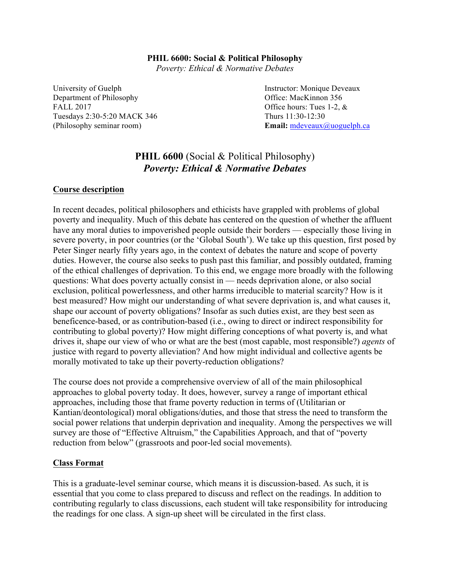# **PHIL 6600: Social & Political Philosophy**

*Poverty: Ethical & Normative Debates*

University of Guelph **Instructor:** Monique Deveaux Department of Philosophy Office: MacKinnon 356 FALL 2017 CHIC CONSTRAINING THE SET OF STATE OF STATE OF STATE SET OF STATE OF STATE OF STATE OF STATE OF STATE OF STATE OF STATE OF STATE OF STATE OF STATE OF STATE OF STATE OF STATE OF STATE OF STATE OF STATE OF STATE OF Tuesdays 2:30-5:20 MACK 346 Thurs 11:30-12:30

(Philosophy seminar room) **Email:** mdeveaux@uoguelph.ca

# **PHIL 6600** (Social & Political Philosophy) *Poverty: Ethical & Normative Debates*

## **Course description**

In recent decades, political philosophers and ethicists have grappled with problems of global poverty and inequality. Much of this debate has centered on the question of whether the affluent have any moral duties to impoverished people outside their borders — especially those living in severe poverty, in poor countries (or the 'Global South'). We take up this question, first posed by Peter Singer nearly fifty years ago, in the context of debates the nature and scope of poverty duties. However, the course also seeks to push past this familiar, and possibly outdated, framing of the ethical challenges of deprivation. To this end, we engage more broadly with the following questions: What does poverty actually consist in — needs deprivation alone, or also social exclusion, political powerlessness, and other harms irreducible to material scarcity? How is it best measured? How might our understanding of what severe deprivation is, and what causes it, shape our account of poverty obligations? Insofar as such duties exist, are they best seen as beneficence-based, or as contribution-based (i.e., owing to direct or indirect responsibility for contributing to global poverty)? How might differing conceptions of what poverty is, and what drives it, shape our view of who or what are the best (most capable, most responsible?) *agents* of justice with regard to poverty alleviation? And how might individual and collective agents be morally motivated to take up their poverty-reduction obligations?

The course does not provide a comprehensive overview of all of the main philosophical approaches to global poverty today. It does, however, survey a range of important ethical approaches, including those that frame poverty reduction in terms of (Utilitarian or Kantian/deontological) moral obligations/duties, and those that stress the need to transform the social power relations that underpin deprivation and inequality. Among the perspectives we will survey are those of "Effective Altruism," the Capabilities Approach, and that of "poverty reduction from below" (grassroots and poor-led social movements).

## **Class Format**

This is a graduate-level seminar course, which means it is discussion-based. As such, it is essential that you come to class prepared to discuss and reflect on the readings. In addition to contributing regularly to class discussions, each student will take responsibility for introducing the readings for one class. A sign-up sheet will be circulated in the first class.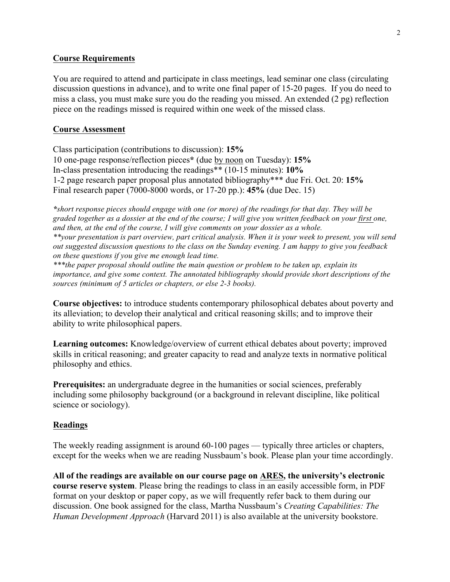## **Course Requirements**

You are required to attend and participate in class meetings, lead seminar one class (circulating discussion questions in advance), and to write one final paper of 15-20 pages. If you do need to miss a class, you must make sure you do the reading you missed. An extended (2 pg) reflection piece on the readings missed is required within one week of the missed class.

## **Course Assessment**

Class participation (contributions to discussion): **15%** 10 one-page response/reflection pieces**\*** (due by noon on Tuesday): **15%** In-class presentation introducing the readings\*\* (10-15 minutes): **10%** 1-2 page research paper proposal plus annotated bibliography\*\*\* due Fri. Oct. 20: **15%** Final research paper (7000-8000 words, or 17-20 pp.): **45%** (due Dec. 15)

*\*short response pieces should engage with one (or more) of the readings for that day. They will be graded together as a dossier at the end of the course; I will give you written feedback on your first one, and then, at the end of the course, I will give comments on your dossier as a whole. \*\*your presentation is part overview, part critical analysis. When it is your week to present, you will send out suggested discussion questions to the class on the Sunday evening. I am happy to give you feedback on these questions if you give me enough lead time.*

*\*\*\*the paper proposal should outline the main question or problem to be taken up, explain its importance, and give some context. The annotated bibliography should provide short descriptions of the sources (minimum of 5 articles or chapters, or else 2-3 books).*

**Course objectives:** to introduce students contemporary philosophical debates about poverty and its alleviation; to develop their analytical and critical reasoning skills; and to improve their ability to write philosophical papers.

**Learning outcomes:** Knowledge/overview of current ethical debates about poverty; improved skills in critical reasoning; and greater capacity to read and analyze texts in normative political philosophy and ethics.

**Prerequisites:** an undergraduate degree in the humanities or social sciences, preferably including some philosophy background (or a background in relevant discipline, like political science or sociology).

## **Readings**

The weekly reading assignment is around 60-100 pages — typically three articles or chapters, except for the weeks when we are reading Nussbaum's book. Please plan your time accordingly.

**All of the readings are available on our course page on ARES, the university's electronic course reserve system**. Please bring the readings to class in an easily accessible form, in PDF format on your desktop or paper copy, as we will frequently refer back to them during our discussion. One book assigned for the class, Martha Nussbaum's *Creating Capabilities: The Human Development Approach* (Harvard 2011) is also available at the university bookstore.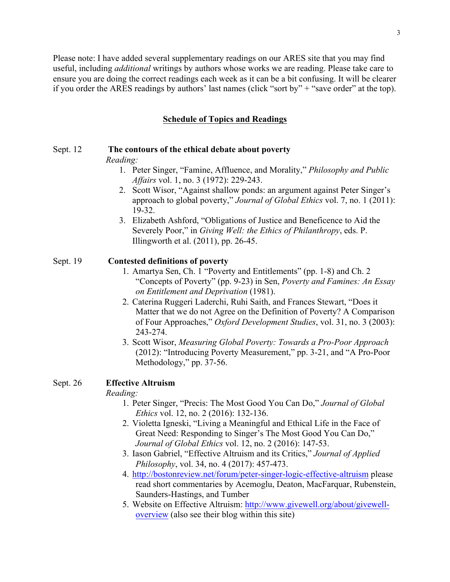Please note: I have added several supplementary readings on our ARES site that you may find useful, including *additional* writings by authors whose works we are reading. Please take care to ensure you are doing the correct readings each week as it can be a bit confusing. It will be clearer if you order the ARES readings by authors' last names (click "sort by" + "save order" at the top).

## **Schedule of Topics and Readings**

### Sept. 12 **The contours of the ethical debate about poverty**

#### *Reading:*

- 1. Peter Singer, "Famine, Affluence, and Morality," *Philosophy and Public Affairs* vol. 1, no. 3 (1972): 229-243.
- 2. Scott Wisor, "Against shallow ponds: an argument against Peter Singer's approach to global poverty," *Journal of Global Ethics* vol. 7, no. 1 (2011): 19-32.
- 3. Elizabeth Ashford, "Obligations of Justice and Beneficence to Aid the Severely Poor," in *Giving Well: the Ethics of Philanthropy*, eds. P. Illingworth et al. (2011), pp. 26-45.

#### Sept. 19 **Contested definitions of poverty**

- 1. Amartya Sen, Ch. 1 "Poverty and Entitlements" (pp. 1-8) and Ch. 2 "Concepts of Poverty" (pp. 9-23) in Sen, *Poverty and Famines: An Essay on Entitlement and Deprivation* (1981).
- 2. Caterina Ruggeri Laderchi, Ruhi Saith, and Frances Stewart, "Does it Matter that we do not Agree on the Definition of Poverty? A Comparison of Four Approaches," *Oxford Development Studies*, vol. 31, no. 3 (2003): 243-274.
- 3. Scott Wisor, *Measuring Global Poverty: Towards a Pro-Poor Approach* (2012): "Introducing Poverty Measurement," pp. 3-21, and "A Pro-Poor Methodology," pp. 37-56.

#### Sept. 26 **Effective Altruism**

#### *Reading:*

- 1. Peter Singer, "Precis: The Most Good You Can Do," *Journal of Global Ethics* vol. 12, no. 2 (2016): 132-136.
- 2. Violetta Igneski, "Living a Meaningful and Ethical Life in the Face of Great Need: Responding to Singer's The Most Good You Can Do," *Journal of Global Ethics* vol. 12, no. 2 (2016): 147-53.
- 3. Iason Gabriel, "Effective Altruism and its Critics," *Journal of Applied Philosophy*, vol. 34, no. 4 (2017): 457-473.
- 4. http://bostonreview.net/forum/peter-singer-logic-effective-altruism please read short commentaries by Acemoglu, Deaton, MacFarquar, Rubenstein, Saunders-Hastings, and Tumber
- 5. Website on Effective Altruism: http://www.givewell.org/about/givewelloverview (also see their blog within this site)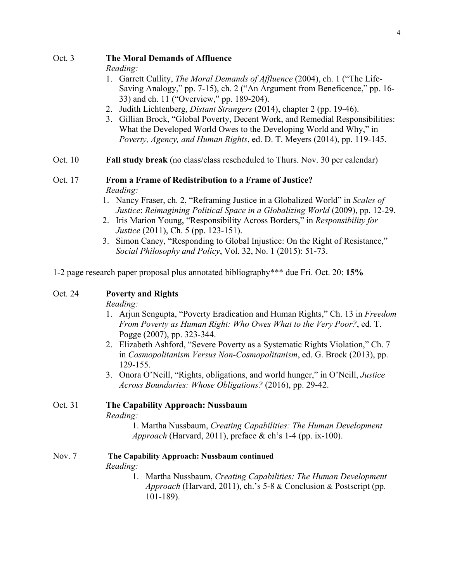### Oct. 3 **The Moral Demands of Affluence**

*Reading:* 

- 1. Garrett Cullity, *The Moral Demands of Affluence* (2004), ch. 1 ("The Life-Saving Analogy," pp. 7-15), ch. 2 ("An Argument from Beneficence," pp. 16- 33) and ch. 11 ("Overview," pp. 189-204).
- 2. Judith Lichtenberg, *Distant Strangers* (2014), chapter 2 (pp. 19-46).
- 3. Gillian Brock, "Global Poverty, Decent Work, and Remedial Responsibilities: What the Developed World Owes to the Developing World and Why," in *Poverty, Agency, and Human Rights*, ed. D. T. Meyers (2014), pp. 119-145.
- Oct. 10 **Fall study break** (no class/class rescheduled to Thurs. Nov. 30 per calendar)

### Oct. 17 **From a Frame of Redistribution to a Frame of Justice?** *Reading:*

- 1. Nancy Fraser, ch. 2, "Reframing Justice in a Globalized World" in *Scales of Justice*: *Reimagining Political Space in a Globalizing World* (2009), pp. 12-29.
- 2. Iris Marion Young, "Responsibility Across Borders," in *Responsibility for Justice* (2011), Ch. 5 (pp. 123-151).
- 3. Simon Caney, "Responding to Global Injustice: On the Right of Resistance," *Social Philosophy and Policy*, Vol. 32, No. 1 (2015): 51-73.

1-2 page research paper proposal plus annotated bibliography\*\*\* due Fri. Oct. 20: **15%**

## Oct. 24 **Poverty and Rights**

*Reading:*

- 1. Arjun Sengupta, "Poverty Eradication and Human Rights," Ch. 13 in *Freedom From Poverty as Human Right: Who Owes What to the Very Poor?*, ed. T. Pogge (2007), pp. 323-344.
- 2. Elizabeth Ashford, "Severe Poverty as a Systematic Rights Violation," Ch. 7 in *Cosmopolitanism Versus Non-Cosmopolitanism*, ed. G. Brock (2013), pp. 129-155.
- 3. Onora O'Neill, "Rights, obligations, and world hunger," in O'Neill, *Justice Across Boundaries: Whose Obligations?* (2016), pp. 29-42.

Oct. 31 **The Capability Approach: Nussbaum** *Reading:* 1. Martha Nussbaum, *Creating Capabilities: The Human Development Approach* (Harvard, 2011), preface & ch's 1-4 (pp. ix-100).

# Nov. 7 **The Capability Approach: Nussbaum continued** *Reading:*

1. Martha Nussbaum, *Creating Capabilities: The Human Development Approach* (Harvard, 2011), ch.'s 5-8 & Conclusion & Postscript (pp. 101-189).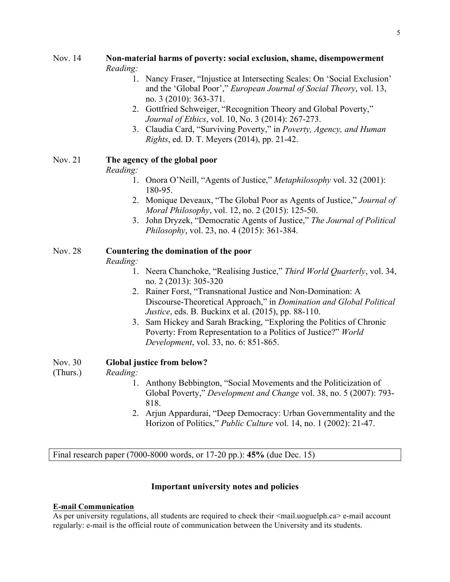## Nov. 14 **Non-material harms of poverty: social exclusion, shame, disempowerment** *Reading:*

- 1. Nancy Fraser, "Injustice at Intersecting Scales: On 'Social Exclusion' and the 'Global Poor'," *European Journal of Social Theory*, vol. 13, no. 3 (2010): 363-371.
- 2. Gottfried Schweiger, "Recognition Theory and Global Poverty," *Journal of Ethics*, vol. 10, No. 3 (2014): 267-273.
- 3. Claudia Card, "Surviving Poverty," in *Poverty, Agency, and Human Rights*, ed. D. T. Meyers (2014), pp. 21-42.

# Nov. 21 **The agency of the global poor**

# *Reading:*

- 1. Onora O'Neill, "Agents of Justice," *Metaphilosophy* vol. 32 (2001): 180-95.
- 2. Monique Deveaux, "The Global Poor as Agents of Justice," *Journal of Moral Philosophy*, vol. 12, no. 2 (2015): 125-50.
- 3. John Dryzek, "Democratic Agents of Justice," *The Journal of Political Philosophy*, vol. 23, no. 4 (2015): 361-384.

# Nov. 28 **Countering the domination of the poor**

# *Reading:*

- 1. Neera Chanchoke, "Realising Justice," *Third World Quarterly*, vol. 34, no. 2 (2013): 305-320
- 2. Rainer Forst, "Transnational Justice and Non-Domination: A Discourse-Theoretical Approach," in *Domination and Global Political Justice*, eds. B. Buckinx et al. (2015), pp. 88-110.
- 3. Sam Hickey and Sarah Bracking, "Exploring the Politics of Chronic Poverty: From Representation to a Politics of Justice?" *World Development*, vol. 33, no. 6: 851-865.

# Nov. 30 **Global justice from below?**

# (Thurs.) *Reading:*

- 1. Anthony Bebbington, "Social Movements and the Politicization of Global Poverty," *Development and Change* vol. 38, no. 5 (2007): 793- 818.
- 2. Arjun Appardurai, "Deep Democracy: Urban Governmentality and the Horizon of Politics," *Public Culture* vol. 14, no. 1 (2002): 21-47.

Final research paper (7000-8000 words, or 17-20 pp.): **45%** (due Dec. 15)

# **Important university notes and policies**

# **E-mail Communication**

As per university regulations, all students are required to check their  $\le$ mail.uoguelph.ca> e-mail account regularly: e-mail is the official route of communication between the University and its students.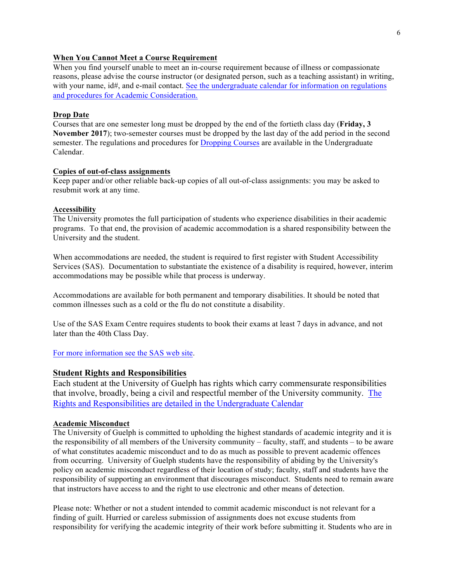#### **When You Cannot Meet a Course Requirement**

When you find yourself unable to meet an in-course requirement because of illness or compassionate reasons, please advise the course instructor (or designated person, such as a teaching assistant) in writing, with your name, id#, and e-mail contact. See the undergraduate calendar for information on regulations and procedures for Academic Consideration.

#### **Drop Date**

Courses that are one semester long must be dropped by the end of the fortieth class day (**Friday, 3 November 2017**); two-semester courses must be dropped by the last day of the add period in the second semester. The regulations and procedures for Dropping Courses are available in the Undergraduate Calendar.

#### **Copies of out-of-class assignments**

Keep paper and/or other reliable back-up copies of all out-of-class assignments: you may be asked to resubmit work at any time.

#### **Accessibility**

The University promotes the full participation of students who experience disabilities in their academic programs. To that end, the provision of academic accommodation is a shared responsibility between the University and the student.

When accommodations are needed, the student is required to first register with Student Accessibility Services (SAS). Documentation to substantiate the existence of a disability is required, however, interim accommodations may be possible while that process is underway.

Accommodations are available for both permanent and temporary disabilities. It should be noted that common illnesses such as a cold or the flu do not constitute a disability.

Use of the SAS Exam Centre requires students to book their exams at least 7 days in advance, and not later than the 40th Class Day.

For more information see the SAS web site.

#### **Student Rights and Responsibilities**

Each student at the University of Guelph has rights which carry commensurate responsibilities that involve, broadly, being a civil and respectful member of the University community. The Rights and Responsibilities are detailed in the Undergraduate Calendar

## **Academic Misconduct**

The University of Guelph is committed to upholding the highest standards of academic integrity and it is the responsibility of all members of the University community – faculty, staff, and students – to be aware of what constitutes academic misconduct and to do as much as possible to prevent academic offences from occurring. University of Guelph students have the responsibility of abiding by the University's policy on academic misconduct regardless of their location of study; faculty, staff and students have the responsibility of supporting an environment that discourages misconduct. Students need to remain aware that instructors have access to and the right to use electronic and other means of detection.

Please note: Whether or not a student intended to commit academic misconduct is not relevant for a finding of guilt. Hurried or careless submission of assignments does not excuse students from responsibility for verifying the academic integrity of their work before submitting it. Students who are in